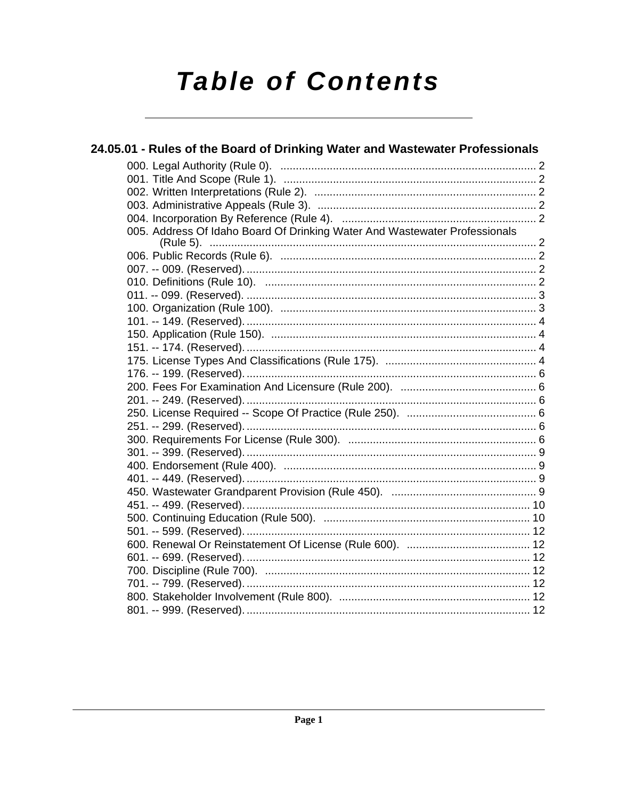# **Table of Contents**

| 24.05.01 - Rules of the Board of Drinking Water and Wastewater Professionals |  |
|------------------------------------------------------------------------------|--|
|                                                                              |  |
|                                                                              |  |
|                                                                              |  |
|                                                                              |  |
|                                                                              |  |
| 005. Address Of Idaho Board Of Drinking Water And Wastewater Professionals   |  |
|                                                                              |  |
|                                                                              |  |
|                                                                              |  |
|                                                                              |  |
|                                                                              |  |
|                                                                              |  |
|                                                                              |  |
|                                                                              |  |
|                                                                              |  |
|                                                                              |  |
|                                                                              |  |
|                                                                              |  |
|                                                                              |  |
|                                                                              |  |
|                                                                              |  |
|                                                                              |  |
|                                                                              |  |
|                                                                              |  |
|                                                                              |  |
|                                                                              |  |
|                                                                              |  |
|                                                                              |  |
|                                                                              |  |
|                                                                              |  |
|                                                                              |  |
|                                                                              |  |
|                                                                              |  |
|                                                                              |  |
|                                                                              |  |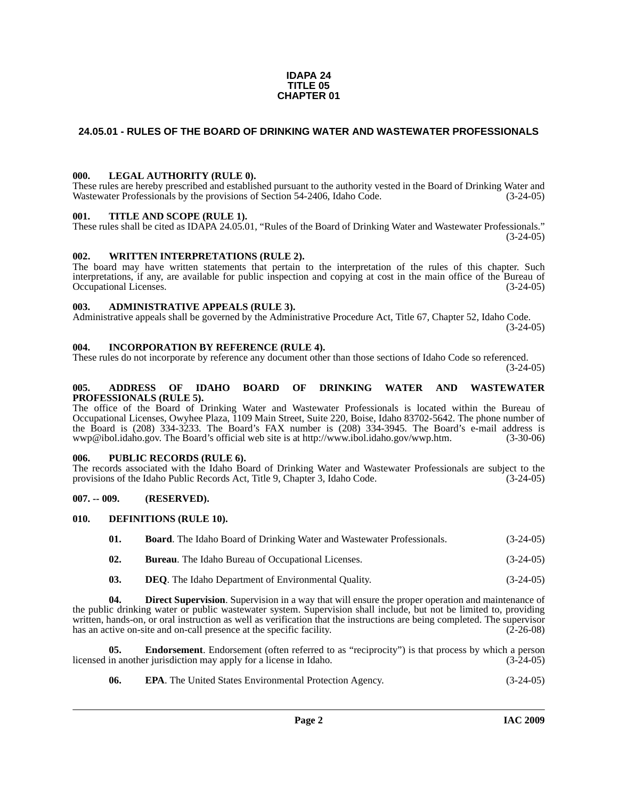#### **IDAPA 24 TITLE 05 CHAPTER 01**

### <span id="page-1-0"></span>**24.05.01 - RULES OF THE BOARD OF DRINKING WATER AND WASTEWATER PROFESSIONALS**

#### <span id="page-1-1"></span>**000. LEGAL AUTHORITY (RULE 0).**

These rules are hereby prescribed and established pursuant to the authority vested in the Board of Drinking Water and Wastewater Professionals by the provisions of Section 54-2406, Idaho Code. (3-24-05)

#### <span id="page-1-2"></span>**001. TITLE AND SCOPE (RULE 1).**

These rules shall be cited as IDAPA 24.05.01, "Rules of the Board of Drinking Water and Wastewater Professionals."  $(3-24-05)$ 

#### <span id="page-1-3"></span>**002. WRITTEN INTERPRETATIONS (RULE 2).**

The board may have written statements that pertain to the interpretation of the rules of this chapter. Such interpretations, if any, are available for public inspection and copying at cost in the main office of the Bureau of Occupational Licenses. (3-24-05)

#### <span id="page-1-4"></span>**003. ADMINISTRATIVE APPEALS (RULE 3).**

Administrative appeals shall be governed by the Administrative Procedure Act, Title 67, Chapter 52, Idaho Code. (3-24-05)

#### <span id="page-1-5"></span>**004. INCORPORATION BY REFERENCE (RULE 4).**

These rules do not incorporate by reference any document other than those sections of Idaho Code so referenced. (3-24-05)

#### <span id="page-1-6"></span>**005. ADDRESS OF IDAHO BOARD OF DRINKING WATER AND WASTEWATER PROFESSIONALS (RULE 5).**

[The office of the Board of Drinking Water and Wastewater Professionals is located within the Bureau of](mailto:wwp@ibol.idaho.gov)  Occupational Licenses, Owyhee Plaza, 1109 Main Street, Suite 220, Boise, Idaho 83702-5642. The phone number of the Board is (208) 334-3233. The Board's FAX number is (208) 334-3945. The Board's e-mail address is [wwp@ibol.idaho.gov. The Board's official web site is at h](mailto:wwp@ibol.idaho.gov)[ttp://www.ibol.idaho.gov/wwp.htm. \(3-30-06\)](http://www.ibol.idaho.gov/wwp.htm)

#### <span id="page-1-7"></span>**006. PUBLIC RECORDS (RULE 6).**

The records associated with the Idaho Board of Drinking Water and Wastewater Professionals are subject to the provisions of the Idaho Public Records Act, Title 9, Chapter 3, Idaho Code. (3-24-05)

#### <span id="page-1-8"></span>**007. -- 009. (RESERVED).**

#### <span id="page-1-9"></span>**010. DEFINITIONS (RULE 10).**

<span id="page-1-10"></span>

| 01. | <b>Board.</b> The Idaho Board of Drinking Water and Wastewater Professionals. | $(3-24-05)$ |
|-----|-------------------------------------------------------------------------------|-------------|
| 02. | <b>Bureau.</b> The Idaho Bureau of Occupational Licenses.                     | $(3-24-05)$ |

<span id="page-1-11"></span>**03. DEQ**. The Idaho Department of Environmental Quality. (3-24-05)

**04. Direct Supervision**. Supervision in a way that will ensure the proper operation and maintenance of the public drinking water or public wastewater system. Supervision shall include, but not be limited to, providing written, hands-on, or oral instruction as well as verification that the instructions are being completed. The supervisor has an active on-site and on-call presence at the specific facility.  $(2-26-08)$ 

**05. Endorsement**. Endorsement (often referred to as "reciprocity") is that process by which a person in another jurisdiction may apply for a license in Idaho. (3-24-05) licensed in another jurisdiction may apply for a license in Idaho.

<span id="page-1-13"></span><span id="page-1-12"></span>**06. EPA**. The United States Environmental Protection Agency. (3-24-05)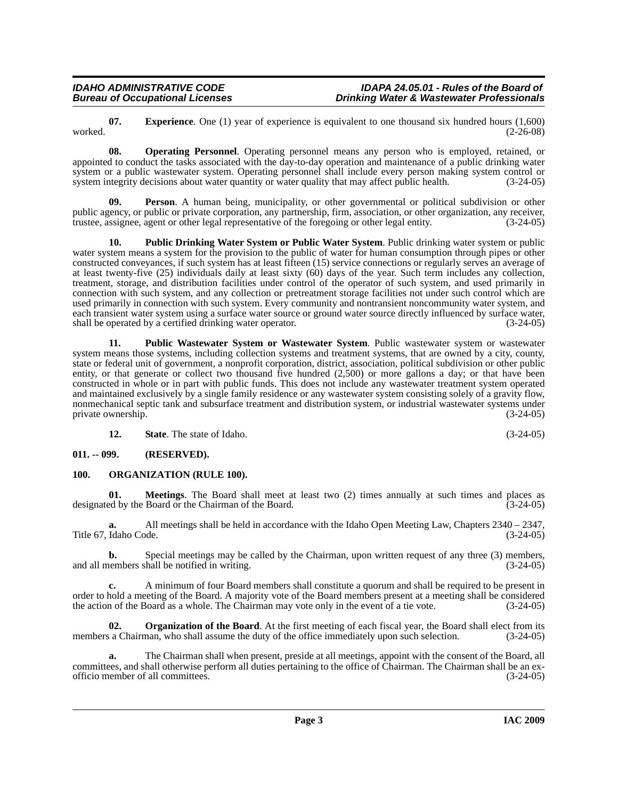**Page 3 IAC 2009**

<span id="page-2-2"></span>**07. Experience**. One (1) year of experience is equivalent to one thousand six hundred hours (1,600) (2-26-08) worked. (2-26-08)

**Drinking Water & Wastewater Professionals** 

<span id="page-2-3"></span>**08. Operating Personnel**. Operating personnel means any person who is employed, retained, or appointed to conduct the tasks associated with the day-to-day operation and maintenance of a public drinking water system or a public wastewater system. Operating personnel shall include every person making system control or system integrity decisions about water quantity or water quality that may affect public health. (3-24-05) system integrity decisions about water quantity or water quality that may affect public health.

<span id="page-2-5"></span>**Person**. A human being, municipality, or other governmental or political subdivision or other public agency, or public or private corporation, any partnership, firm, association, or other organization, any receiver, trustee, assignee, agent or other legal representative of the foregoing or other legal entity. (3-24-05)

<span id="page-2-6"></span>**10. Public Drinking Water System or Public Water System**. Public drinking water system or public water system means a system for the provision to the public of water for human consumption through pipes or other constructed conveyances, if such system has at least fifteen (15) service connections or regularly serves an average of at least twenty-five (25) individuals daily at least sixty (60) days of the year. Such term includes any collection, treatment, storage, and distribution facilities under control of the operator of such system, and used primarily in connection with such system, and any collection or pretreatment storage facilities not under such control which are used primarily in connection with such system. Every community and nontransient noncommunity water system, and each transient water system using a surface water source or ground water source directly influenced by surface water, shall be operated by a certified drinking water operator. (3-24-05)

<span id="page-2-7"></span>**11. Public Wastewater System or Wastewater System**. Public wastewater system or wastewater system means those systems, including collection systems and treatment systems, that are owned by a city, county, state or federal unit of government, a nonprofit corporation, district, association, political subdivision or other public entity, or that generate or collect two thousand five hundred (2,500) or more gallons a day; or that have been constructed in whole or in part with public funds. This does not include any wastewater treatment system operated and maintained exclusively by a single family residence or any wastewater system consisting solely of a gravity flow, nonmechanical septic tank and subsurface treatment and distribution system, or industrial wastewater systems under private ownership. (3-24-05)

<span id="page-2-4"></span>**12. State**. The state of Idaho. (3-24-05)

<span id="page-2-0"></span>**011. -- 099. (RESERVED).**

### <span id="page-2-1"></span>**100. ORGANIZATION (RULE 100).**

**01. Meetings**. The Board shall meet at least two (2) times annually at such times and places as designated by the Board or the Chairman of the Board. (3-24-05)

**a.** All meetings shall be held in accordance with the Idaho Open Meeting Law, Chapters 2340 – 2347, Title 67, Idaho Code. (3-24-05)

**b.** Special meetings may be called by the Chairman, upon written request of any three (3) members, nembers shall be notified in writing. and all members shall be notified in writing.

**c.** A minimum of four Board members shall constitute a quorum and shall be required to be present in order to hold a meeting of the Board. A majority vote of the Board members present at a meeting shall be considered the action of the Board as a whole. The Chairman may vote only in the event of a tie vote. (3-24-05)

**02. Organization of the Board**. At the first meeting of each fiscal year, the Board shall elect from its members a Chairman, who shall assume the duty of the office immediately upon such selection.  $(3-24-05)$ 

**a.** The Chairman shall when present, preside at all meetings, appoint with the consent of the Board, all committees, and shall otherwise perform all duties pertaining to the office of Chairman. The Chairman shall be an ex-<br>officio member of all committees. (3-24-05) officio member of all committees.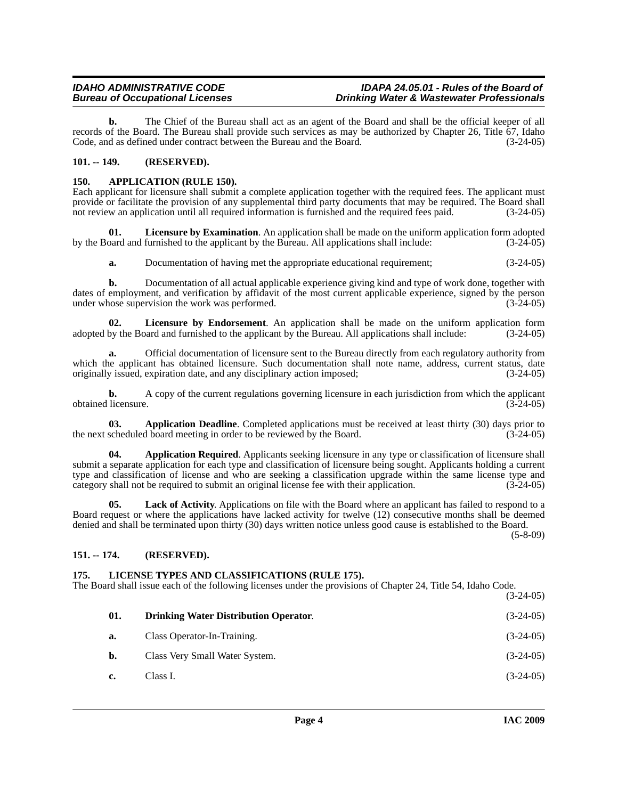**b.** The Chief of the Bureau shall act as an agent of the Board and shall be the official keeper of all records of the Board. The Bureau shall provide such services as may be authorized by Chapter 26, Title 67, Idaho Code, and as defined under contract between the Bureau and the Board. (3-24-05)

# <span id="page-3-0"></span>**101. -- 149. (RESERVED).**

### <span id="page-3-4"></span><span id="page-3-1"></span>**150. APPLICATION (RULE 150).**

Each applicant for licensure shall submit a complete application together with the required fees. The applicant must provide or facilitate the provision of any supplemental third party documents that may be required. The Board shall not review an application until all required information is furnished and the required fees paid. (3-24-05)

**01.** Licensure by Examination. An application shall be made on the uniform application form adopted oard and furnished to the applicant by the Bureau. All applications shall include:  $(3-24-05)$ by the Board and furnished to the applicant by the Bureau. All applications shall include:

<span id="page-3-10"></span><span id="page-3-9"></span>**a.** Documentation of having met the appropriate educational requirement; (3-24-05)

**b.** Documentation of all actual applicable experience giving kind and type of work done, together with dates of employment, and verification by affidavit of the most current applicable experience, signed by the person under whose supervision the work was performed. (3-24-05)

**02.** Licensure by Endorsement. An application shall be made on the uniform application form by the Board and furnished to the applicant by the Bureau. All applications shall include:  $(3-24-05)$ adopted by the Board and furnished to the applicant by the Bureau. All applications shall include:

**a.** Official documentation of licensure sent to the Bureau directly from each regulatory authority from which the applicant has obtained licensure. Such documentation shall note name, address, current status, date originally issued, expiration date, and any disciplinary action imposed: (3-24-05) originally issued, expiration date, and any disciplinary action imposed;

**b.** A copy of the current regulations governing licensure in each jurisdiction from which the applicant obtained licensure. (3-24-05)

<span id="page-3-5"></span>**03. Application Deadline**. Completed applications must be received at least thirty (30) days prior to the next scheduled board meeting in order to be reviewed by the Board. (3-24-05)

<span id="page-3-6"></span>**04. Application Required**. Applicants seeking licensure in any type or classification of licensure shall submit a separate application for each type and classification of licensure being sought. Applicants holding a current type and classification of license and who are seeking a classification upgrade within the same license type and category shall not be required to submit an original license fee with their application. (3-24-05)

Lack of Activity. Applications on file with the Board where an applicant has failed to respond to a Board request or where the applications have lacked activity for twelve (12) consecutive months shall be deemed denied and shall be terminated upon thirty (30) days written notice unless good cause is established to the Board.

(5-8-09)

# <span id="page-3-2"></span>**151. -- 174. (RESERVED).**

# <span id="page-3-8"></span><span id="page-3-3"></span>**175. LICENSE TYPES AND CLASSIFICATIONS (RULE 175).**

The Board shall issue each of the following licenses under the provisions of Chapter 24, Title 54, Idaho Code.  $(3-24-05)$ 

<span id="page-3-7"></span>

|     |                                              | $1 - 1 - 0$ |
|-----|----------------------------------------------|-------------|
| 01. | <b>Drinking Water Distribution Operator.</b> | $(3-24-05)$ |
| a.  | Class Operator-In-Training.                  | $(3-24-05)$ |
| b.  | Class Very Small Water System.               | $(3-24-05)$ |
| c.  | Class I.                                     | $(3-24-05)$ |
|     |                                              |             |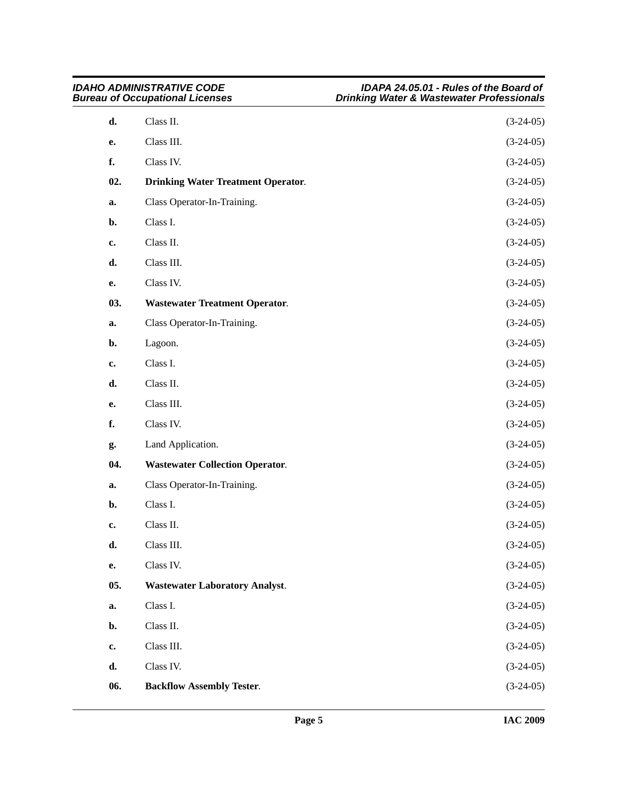<span id="page-4-4"></span><span id="page-4-3"></span><span id="page-4-2"></span><span id="page-4-1"></span><span id="page-4-0"></span>

| <b>IDAHO ADMINISTRATIVE CODE</b><br><b>Bureau of Occupational Licenses</b> |                                           | IDAPA 24.05.01 - Rules of the Board of<br><b>Drinking Water &amp; Wastewater Professionals</b> |  |
|----------------------------------------------------------------------------|-------------------------------------------|------------------------------------------------------------------------------------------------|--|
| d.                                                                         | Class II.                                 | $(3-24-05)$                                                                                    |  |
| e.                                                                         | Class III.                                | $(3-24-05)$                                                                                    |  |
| f.                                                                         | Class IV.                                 | $(3-24-05)$                                                                                    |  |
| 02.                                                                        | <b>Drinking Water Treatment Operator.</b> | $(3-24-05)$                                                                                    |  |
| a.                                                                         | Class Operator-In-Training.               | $(3-24-05)$                                                                                    |  |
| b.                                                                         | Class I.                                  | $(3-24-05)$                                                                                    |  |
| c.                                                                         | Class II.                                 | $(3-24-05)$                                                                                    |  |
| d.                                                                         | Class III.                                | $(3-24-05)$                                                                                    |  |
| е.                                                                         | Class IV.                                 | $(3-24-05)$                                                                                    |  |
| 03.                                                                        | <b>Wastewater Treatment Operator.</b>     | $(3-24-05)$                                                                                    |  |
| a.                                                                         | Class Operator-In-Training.               | $(3-24-05)$                                                                                    |  |
| b.                                                                         | Lagoon.                                   | $(3-24-05)$                                                                                    |  |
| c.                                                                         | Class I.                                  | $(3-24-05)$                                                                                    |  |
| d.                                                                         | Class II.                                 | $(3-24-05)$                                                                                    |  |
| е.                                                                         | Class III.                                | $(3-24-05)$                                                                                    |  |
| f.                                                                         | Class IV.                                 | $(3-24-05)$                                                                                    |  |
| g.                                                                         | Land Application.                         | $(3-24-05)$                                                                                    |  |
| 04.                                                                        | <b>Wastewater Collection Operator.</b>    | $(3-24-05)$                                                                                    |  |
| a.                                                                         | Class Operator-In-Training.               | $(3-24-05)$                                                                                    |  |
| b.                                                                         | Class I.                                  | $(3-24-05)$                                                                                    |  |
| c.                                                                         | Class II.                                 | $(3-24-05)$                                                                                    |  |
| d.                                                                         | Class III.                                | $(3-24-05)$                                                                                    |  |
| e.                                                                         | Class IV.                                 | $(3-24-05)$                                                                                    |  |
| 05.                                                                        | <b>Wastewater Laboratory Analyst.</b>     | $(3-24-05)$                                                                                    |  |
| a.                                                                         | Class I.                                  | $(3-24-05)$                                                                                    |  |
| b.                                                                         | Class II.                                 | $(3-24-05)$                                                                                    |  |
| $\mathbf{c}$ .                                                             | Class III.                                | $(3-24-05)$                                                                                    |  |
| d.                                                                         | Class IV.                                 | $(3-24-05)$                                                                                    |  |
| 06.                                                                        | <b>Backflow Assembly Tester.</b>          | $(3-24-05)$                                                                                    |  |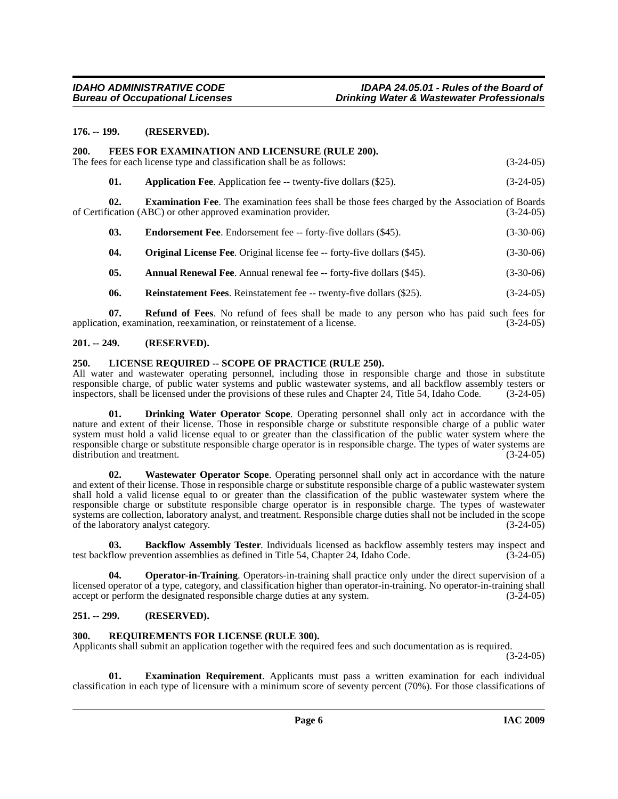#### <span id="page-5-0"></span>**176. -- 199. (RESERVED).**

<span id="page-5-9"></span><span id="page-5-1"></span>

| 200. |                                                                                                                                                                         | FEES FOR EXAMINATION AND LICENSURE (RULE 200).<br>The fees for each license type and classification shall be as follows: | $(3-24-05)$ |
|------|-------------------------------------------------------------------------------------------------------------------------------------------------------------------------|--------------------------------------------------------------------------------------------------------------------------|-------------|
|      | 01.                                                                                                                                                                     | <b>Application Fee.</b> Application fee -- twenty-five dollars (\$25).                                                   | $(3-24-05)$ |
| 02.  | <b>Examination Fee.</b> The examination fees shall be those fees charged by the Association of Boards<br>of Certification (ABC) or other approved examination provider. | $(3-24-05)$                                                                                                              |             |
|      | 03.                                                                                                                                                                     | <b>Endorsement Fee.</b> Endorsement fee -- forty-five dollars (\$45).                                                    | $(3-30-06)$ |
|      | 04.                                                                                                                                                                     | <b>Original License Fee.</b> Original license fee -- forty-five dollars (\$45).                                          | $(3-30-06)$ |
|      | 05.                                                                                                                                                                     | <b>Annual Renewal Fee.</b> Annual renewal fee -- forty-five dollars (\$45).                                              | $(3-30-06)$ |

**06.** Reinstatement Fees. Reinstatement fee -- twenty-five dollars (\$25). (3-24-05)

**07. Refund of Fees**. No refund of fees shall be made to any person who has paid such fees for application, examination, reexamination, or reinstatement of a license. (3-24-05)

#### <span id="page-5-2"></span>**201. -- 249. (RESERVED).**

#### <span id="page-5-10"></span><span id="page-5-3"></span>**250. LICENSE REQUIRED -- SCOPE OF PRACTICE (RULE 250).**

All water and wastewater operating personnel, including those in responsible charge and those in substitute responsible charge, of public water systems and public wastewater systems, and all backflow assembly testers or<br>inspectors, shall be licensed under the provisions of these rules and Chapter 24. Title 54, Idaho Code. (3-24inspectors, shall be licensed under the provisions of these rules and Chapter 24, Title 54, Idaho Code.

<span id="page-5-7"></span>**01. Drinking Water Operator Scope**. Operating personnel shall only act in accordance with the nature and extent of their license. Those in responsible charge or substitute responsible charge of a public water system must hold a valid license equal to or greater than the classification of the public water system where the responsible charge or substitute responsible charge operator is in responsible charge. The types of water systems are distribution and treatment. (3-24-05)

<span id="page-5-13"></span>**02. Wastewater Operator Scope**. Operating personnel shall only act in accordance with the nature and extent of their license. Those in responsible charge or substitute responsible charge of a public wastewater system shall hold a valid license equal to or greater than the classification of the public wastewater system where the responsible charge or substitute responsible charge operator is in responsible charge. The types of wastewater systems are collection, laboratory analyst, and treatment. Responsible charge duties shall not be included in the scope of the laboratory analyst category. (3-24-05)

<span id="page-5-6"></span>**03. Backflow Assembly Tester**. Individuals licensed as backflow assembly testers may inspect and flow prevention assemblies as defined in Title 54, Chapter 24, Idaho Code. (3-24-05) test backflow prevention assemblies as defined in Title 54, Chapter 24, Idaho Code.

<span id="page-5-11"></span>**04. Operator-in-Training**. Operators-in-training shall practice only under the direct supervision of a licensed operator of a type, category, and classification higher than operator-in-training. No operator-in-training shall accept or perform the designated responsible charge duties at any system. (3-24-05)

### <span id="page-5-4"></span>**251. -- 299. (RESERVED).**

#### <span id="page-5-12"></span><span id="page-5-5"></span>**300. REQUIREMENTS FOR LICENSE (RULE 300).**

Applicants shall submit an application together with the required fees and such documentation as is required.

(3-24-05)

<span id="page-5-8"></span>**01. Examination Requirement**. Applicants must pass a written examination for each individual classification in each type of licensure with a minimum score of seventy percent (70%). For those classifications of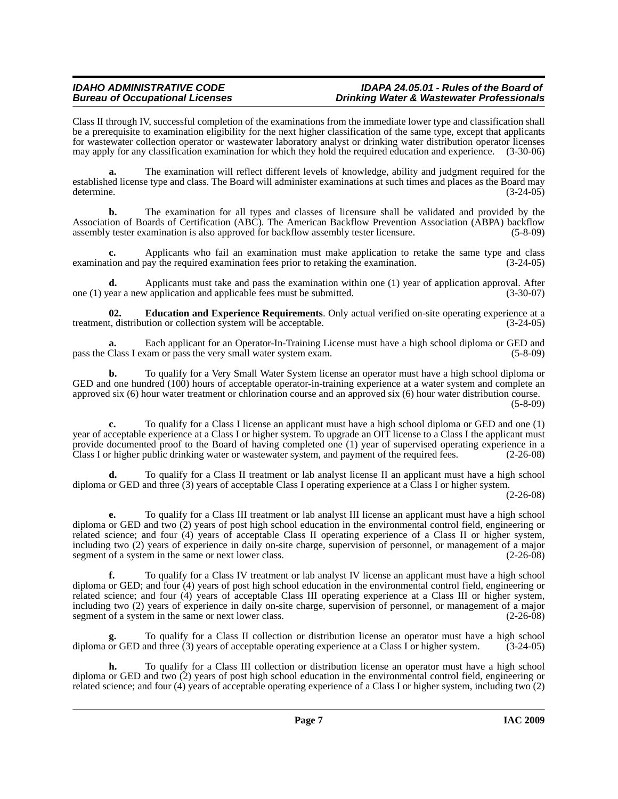Class II through IV, successful completion of the examinations from the immediate lower type and classification shall be a prerequisite to examination eligibility for the next higher classification of the same type, except that applicants for wastewater collection operator or wastewater laboratory analyst or drinking water distribution operator licenses may apply for any classification examination for which they hold the required education and experience. (3-30-06)

**a.** The examination will reflect different levels of knowledge, ability and judgment required for the established license type and class. The Board will administer examinations at such times and places as the Board may determine. (3-24-05)

**b.** The examination for all types and classes of licensure shall be validated and provided by the Association of Boards of Certification (ABC). The American Backflow Prevention Association (ABPA) backflow assembly tester examination is also approved for backflow assembly tester licensure. (5-8-09)

**c.** Applicants who fail an examination must make application to retake the same type and class examination and pay the required examination fees prior to retaking the examination. (3-24-05)

**d.** Applicants must take and pass the examination within one (1) year of application approval. After one (1) year a new application and applicable fees must be submitted. (3-30-07)

<span id="page-6-0"></span>**02. Education and Experience Requirements**. Only actual verified on-site operating experience at a treatment, distribution or collection system will be acceptable. (3-24-05)

**a.** Each applicant for an Operator-In-Training License must have a high school diploma or GED and pass the Class I exam or pass the very small water system exam. (5-8-09)

**b.** To qualify for a Very Small Water System license an operator must have a high school diploma or GED and one hundred (100) hours of acceptable operator-in-training experience at a water system and complete an approved six (6) hour water treatment or chlorination course and an approved six (6) hour water distribution course. (5-8-09)

**c.** To qualify for a Class I license an applicant must have a high school diploma or GED and one (1) year of acceptable experience at a Class I or higher system. To upgrade an OIT license to a Class I the applicant must provide documented proof to the Board of having completed one (1) year of supervised operating experience in a Class I or higher public drinking water or wastewater system, and payment of the required fees. (2-26-08)

**d.** To qualify for a Class II treatment or lab analyst license II an applicant must have a high school diploma or GED and three (3) years of acceptable Class I operating experience at a Class I or higher system. (2-26-08)

**e.** To qualify for a Class III treatment or lab analyst III license an applicant must have a high school diploma or GED and two (2) years of post high school education in the environmental control field, engineering or related science; and four (4) years of acceptable Class II operating experience of a Class II or higher system, including two (2) years of experience in daily on-site charge, supervision of personnel, or management of a major segment of a system in the same or next lower class. (2-26-08)

**f.** To qualify for a Class IV treatment or lab analyst IV license an applicant must have a high school diploma or GED; and four (4) years of post high school education in the environmental control field, engineering or related science; and four (4) years of acceptable Class III operating experience at a Class III or higher system, including two (2) years of experience in daily on-site charge, supervision of personnel, or management of a major segment of a system in the same or next lower class. segment of a system in the same or next lower class.

**g.** To qualify for a Class II collection or distribution license an operator must have a high school diploma or GED and three (3) years of acceptable operating experience at a Class I or higher system. (3-24-05)

**h.** To qualify for a Class III collection or distribution license an operator must have a high school diploma or GED and two (2) years of post high school education in the environmental control field, engineering or related science; and four (4) years of acceptable operating experience of a Class I or higher system, including two (2)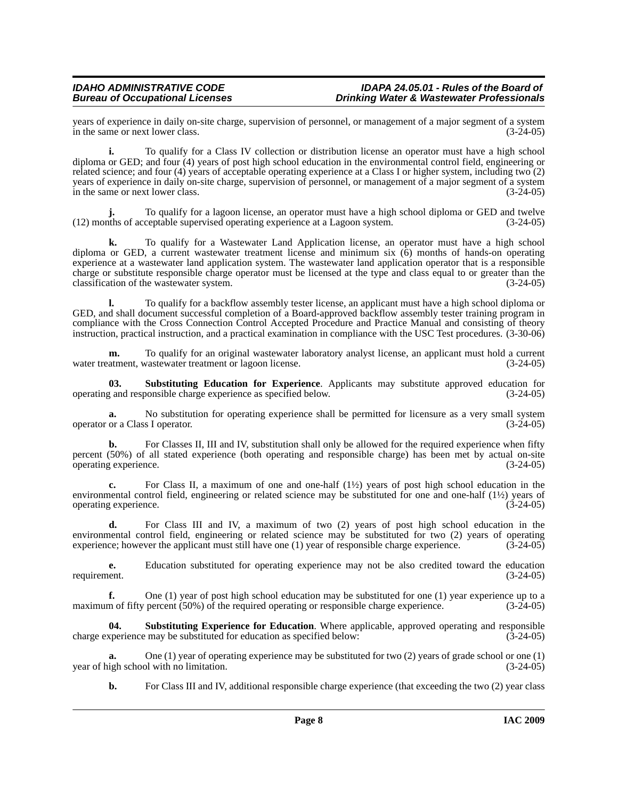years of experience in daily on-site charge, supervision of personnel, or management of a major segment of a system<br>in the same or next lower class. in the same or next lower class.

**i.** To qualify for a Class IV collection or distribution license an operator must have a high school diploma or GED; and four (4) years of post high school education in the environmental control field, engineering or related science; and four (4) years of acceptable operating experience at a Class I or higher system, including two (2) years of experience in daily on-site charge, supervision of personnel, or management of a major segment of a system in the same or next lower class. (3-24-05)

To qualify for a lagoon license, an operator must have a high school diploma or GED and twelve ceptable supervised operating experience at a Lagoon system.  $(3-24-05)$  $(12)$  months of acceptable supervised operating experience at a Lagoon system.

**k.** To qualify for a Wastewater Land Application license, an operator must have a high school diploma or GED, a current wastewater treatment license and minimum six (6) months of hands-on operating experience at a wastewater land application system. The wastewater land application operator that is a responsible charge or substitute responsible charge operator must be licensed at the type and class equal to or greater than the classification of the wastewater system. (3-24-05) classification of the wastewater system.

**l.** To qualify for a backflow assembly tester license, an applicant must have a high school diploma or GED, and shall document successful completion of a Board-approved backflow assembly tester training program in compliance with the Cross Connection Control Accepted Procedure and Practice Manual and consisting of theory instruction, practical instruction, and a practical examination in compliance with the USC Test procedures. (3-30-06)

**m.** To qualify for an original wastewater laboratory analyst license, an applicant must hold a current water treatment, wastewater treatment or lagoon license. (3-24-05)

<span id="page-7-0"></span>**03.** Substituting Education for Experience. Applicants may substitute approved education for g and responsible charge experience as specified below. (3-24-05) operating and responsible charge experience as specified below.

**a.** No substitution for operating experience shall be permitted for licensure as a very small system or a Class I operator. (3-24-05) operator or a Class I operator.

**b.** For Classes II, III and IV, substitution shall only be allowed for the required experience when fifty percent (50%) of all stated experience (both operating and responsible charge) has been met by actual on-site operating experience. (3-24-05)

**c.** For Class II, a maximum of one and one-half (1½) years of post high school education in the environmental control field, engineering or related science may be substituted for one and one-half (1½) years of operating experience. (3-24-05)

**d.** For Class III and IV, a maximum of two (2) years of post high school education in the environmental control field, engineering or related science may be substituted for two (2) years of operating experience; however the applicant must still have one (1) year of responsible charge experience.  $(3-24-05)$ 

**e.** Education substituted for operating experience may not be also credited toward the education ent.  $(3-24-05)$ requirement.

**f.** One (1) year of post high school education may be substituted for one (1) year experience up to a m of fifty percent (50%) of the required operating or responsible charge experience. (3-24-05) maximum of fifty percent  $(50%)$  of the required operating or responsible charge experience.

<span id="page-7-1"></span>**04. Substituting Experience for Education**. Where applicable, approved operating and responsible charge experience may be substituted for education as specified below: (3-24-05)

One (1) year of operating experience may be substituted for two (2) years of grade school or one (1) bl with no limitation. (3-24-05) year of high school with no limitation.

**b.** For Class III and IV, additional responsible charge experience (that exceeding the two (2) year class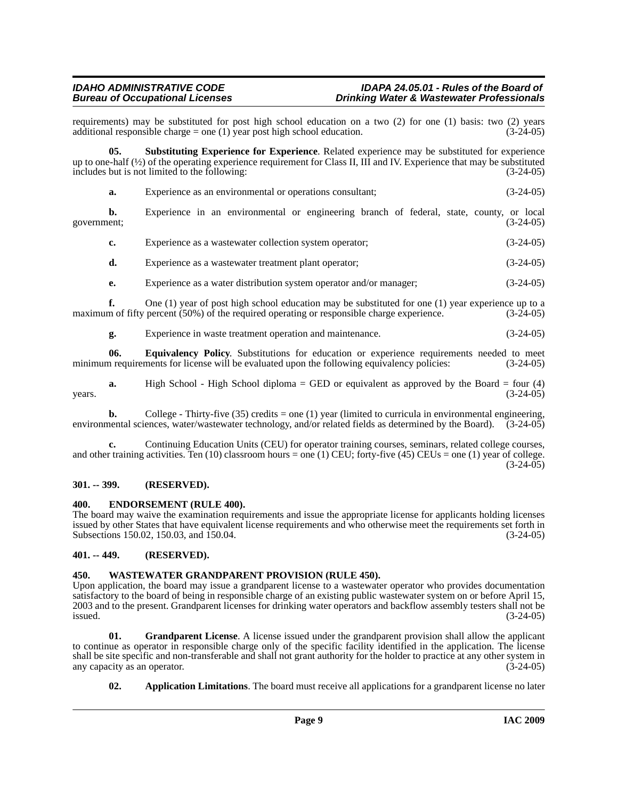requirements) may be substituted for post high school education on a two (2) for one (1) basis: two (2) years additional responsible charge = one (1) year post high school education.  $(3-24-05)$ additional responsible charge = one  $(1)$  year post high school education.

**05. Substituting Experience for Experience**. Related experience may be substituted for experience up to one-half  $\langle \frac{1}{2} \rangle$  of the operating experience requirement for Class II, III and IV. Experience that may be substituted includes but is not limited to the following: (3-24-05)

<span id="page-8-8"></span>

|  | Experience as an environmental or operations consultant: | $(3-24-05)$ |
|--|----------------------------------------------------------|-------------|
|  |                                                          |             |

**b.** Experience in an environmental or engineering branch of federal, state, county, or local ent; (3-24-05) government; (3-24-05)

| Experience as a wastewater collection system operator; | $(3-24-05)$ |
|--------------------------------------------------------|-------------|
|                                                        |             |

- **d.** Experience as a wastewater treatment plant operator; (3-24-05)
- **e.** Experience as a water distribution system operator and/or manager; (3-24-05)

**f.** One (1) year of post high school education may be substituted for one (1) year experience up to a m of fifty percent (50%) of the required operating or responsible charge experience. (3-24-05) maximum of fifty percent  $(50%)$  of the required operating or responsible charge experience.

<span id="page-8-6"></span>**g.** Experience in waste treatment operation and maintenance. (3-24-05)

**06. Equivalency Policy**. Substitutions for education or experience requirements needed to meet in requirements for license will be evaluated upon the following equivalency policies: (3-24-05) minimum requirements for license will be evaluated upon the following equivalency policies:

**a.** High School - High School diploma = GED or equivalent as approved by the Board = four (4) (3-24-05)  $years.$  (3-24-05)

**b.** College - Thirty-five (35) credits = one (1) year (limited to curricula in environmental engineering, environmental sciences, water/wastewater technology, and/or related fields as determined by the Board). (3-24-05)

**c.** Continuing Education Units (CEU) for operator training courses, seminars, related college courses, and other training activities. Ten (10) classroom hours = one (1) CEU; forty-five (45) CEUs = one (1) year of college.  $(3-24-05)$ 

### <span id="page-8-0"></span>**301. -- 399. (RESERVED).**

#### <span id="page-8-5"></span><span id="page-8-1"></span>**400. ENDORSEMENT (RULE 400).**

The board may waive the examination requirements and issue the appropriate license for applicants holding licenses issued by other States that have equivalent license requirements and who otherwise meet the requirements set forth in Subsections 150.02, 150.03, and 150.04. (3-24-05) (3-24-05)

### <span id="page-8-2"></span>**401. -- 449. (RESERVED).**

#### <span id="page-8-9"></span><span id="page-8-3"></span>**450. WASTEWATER GRANDPARENT PROVISION (RULE 450).**

Upon application, the board may issue a grandparent license to a wastewater operator who provides documentation satisfactory to the board of being in responsible charge of an existing public wastewater system on or before April 15, 2003 and to the present. Grandparent licenses for drinking water operators and backflow assembly testers shall not be  $\frac{1}{3}$  issued. (3-24-05)

**01. Grandparent License**. A license issued under the grandparent provision shall allow the applicant to continue as operator in responsible charge only of the specific facility identified in the application. The license shall be site specific and non-transferable and shall not grant authority for the holder to practice at any other system in any capacity as an operator. (3-24-05) any capacity as an operator.

<span id="page-8-7"></span><span id="page-8-4"></span>**02. Application Limitations**. The board must receive all applications for a grandparent license no later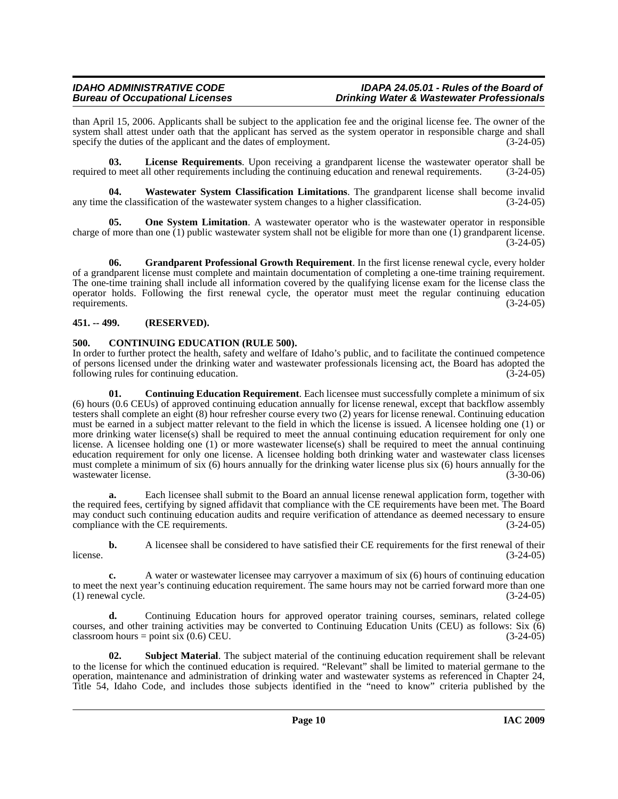than April 15, 2006. Applicants shall be subject to the application fee and the original license fee. The owner of the system shall attest under oath that the applicant has served as the system operator in responsible charge and shall specify the duties of the applicant and the dates of employment. (3-24-05)

<span id="page-9-5"></span>**03. License Requirements**. Upon receiving a grandparent license the wastewater operator shall be required to meet all other requirements including the continuing education and renewal requirements. (3-24-05)

<span id="page-9-8"></span>**04. Wastewater System Classification Limitations**. The grandparent license shall become invalid any time the classification of the wastewater system changes to a higher classification. (3-24-05)

<span id="page-9-6"></span>**05.** One System Limitation. A wastewater operator who is the wastewater operator in responsible charge of more than one  $(1)$  public wastewater system shall not be eligible for more than one  $(1)$  grandparent license.  $(3-24-05)$ 

<span id="page-9-4"></span>**06.** Grandparent Professional Growth Requirement. In the first license renewal cycle, every holder of a grandparent license must complete and maintain documentation of completing a one-time training requirement. The one-time training shall include all information covered by the qualifying license exam for the license class the operator holds. Following the first renewal cycle, the operator must meet the regular continuing education requirements. (3-24-05)

# <span id="page-9-0"></span>**451. -- 499. (RESERVED).**

# <span id="page-9-2"></span><span id="page-9-1"></span>**500. CONTINUING EDUCATION (RULE 500).**

In order to further protect the health, safety and welfare of Idaho's public, and to facilitate the continued competence of persons licensed under the drinking water and wastewater professionals licensing act, the Board has adopted the following rules for continuing education. (3-24-05) following rules for continuing education.

<span id="page-9-3"></span>**01. Continuing Education Requirement**. Each licensee must successfully complete a minimum of six (6) hours (0.6 CEUs) of approved continuing education annually for license renewal, except that backflow assembly testers shall complete an eight (8) hour refresher course every two (2) years for license renewal. Continuing education must be earned in a subject matter relevant to the field in which the license is issued. A licensee holding one (1) or more drinking water license(s) shall be required to meet the annual continuing education requirement for only one license. A licensee holding one (1) or more wastewater license(s) shall be required to meet the annual continuing education requirement for only one license. A licensee holding both drinking water and wastewater class licenses must complete a minimum of six (6) hours annually for the drinking water license plus six (6) hours annually for the wastewater license. (3-30-06)

**a.** Each licensee shall submit to the Board an annual license renewal application form, together with the required fees, certifying by signed affidavit that compliance with the CE requirements have been met. The Board may conduct such continuing education audits and require verification of attendance as deemed necessary to ensure compliance with the CE requirements. (3-24-05)

**b.** A licensee shall be considered to have satisfied their CE requirements for the first renewal of their (3-24-05) license.  $(3-24-05)$ 

**c.** A water or wastewater licensee may carryover a maximum of six (6) hours of continuing education to meet the next year's continuing education requirement. The same hours may not be carried forward more than one (1) renewal cycle.  $(3-24-05)$ 

**d.** Continuing Education hours for approved operator training courses, seminars, related college courses, and other training activities may be converted to Continuing Education Units (CEU) as follows: Six (6)  $\text{classroom hours} = \text{point six } (0.6) \text{ CEU.}$  (3-24-05)

<span id="page-9-7"></span>**02. Subject Material**. The subject material of the continuing education requirement shall be relevant to the license for which the continued education is required. "Relevant" shall be limited to material germane to the operation, maintenance and administration of drinking water and wastewater systems as referenced in Chapter 24, Title 54, Idaho Code, and includes those subjects identified in the "need to know" criteria published by the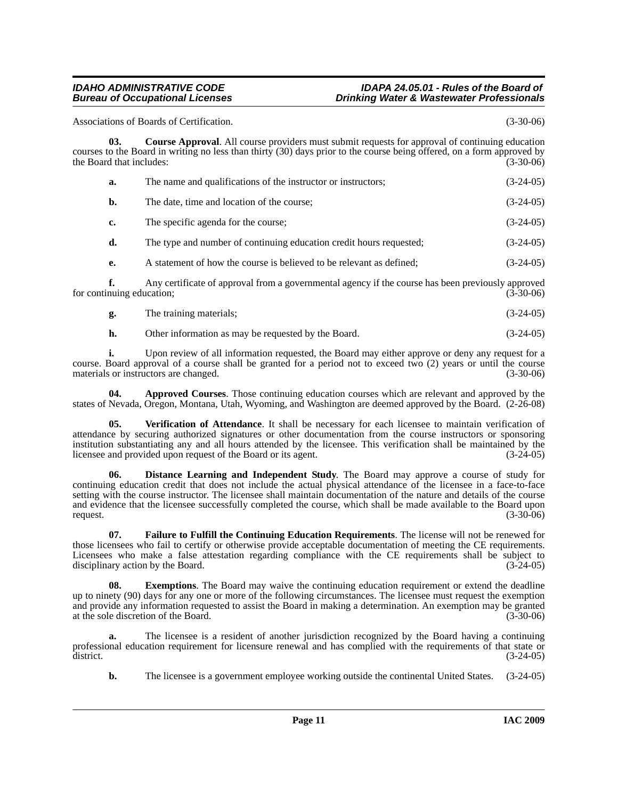Associations of Boards of Certification. (3-30-06)

**03. Course Approval**. All course providers must submit requests for approval of continuing education courses to the Board in writing no less than thirty (30) days prior to the course being offered, on a form approved by the Board that includes:

<span id="page-10-1"></span>

| a. | The name and qualifications of the instructor or instructors;        | $(3-24-05)$ |
|----|----------------------------------------------------------------------|-------------|
| b. | The date, time and location of the course;                           | $(3-24-05)$ |
| c. | The specific agenda for the course;                                  | $(3-24-05)$ |
| d. | The type and number of continuing education credit hours requested;  | $(3-24-05)$ |
| е. | A statement of how the course is believed to be relevant as defined; | $(3-24-05)$ |
|    |                                                                      |             |

**f.** Any certificate of approval from a governmental agency if the course has been previously approved nuing education: (3-30-06) for continuing education;

| g. | The training materials; | $(3-24-05)$ |  |
|----|-------------------------|-------------|--|
|----|-------------------------|-------------|--|

<span id="page-10-0"></span>**h.** Other information as may be requested by the Board. (3-24-05)

**i.** Upon review of all information requested, the Board may either approve or deny any request for a course. Board approval of a course shall be granted for a period not to exceed two (2) years or until the course materials or instructors are changed.

**04. Approved Courses**. Those continuing education courses which are relevant and approved by the states of Nevada, Oregon, Montana, Utah, Wyoming, and Washington are deemed approved by the Board. (2-26-08)

<span id="page-10-5"></span>**05. Verification of Attendance**. It shall be necessary for each licensee to maintain verification of attendance by securing authorized signatures or other documentation from the course instructors or sponsoring institution substantiating any and all hours attended by the licensee. This verification shall be maintained by the licensee and provided upon request of the Board or its agent. (3-24-05) licensee and provided upon request of the Board or its agent.

<span id="page-10-2"></span>**06. Distance Learning and Independent Study**. The Board may approve a course of study for continuing education credit that does not include the actual physical attendance of the licensee in a face-to-face setting with the course instructor. The licensee shall maintain documentation of the nature and details of the course and evidence that the licensee successfully completed the course, which shall be made available to the Board upon request. (3-30-06) request.  $(3-30-06)$ 

<span id="page-10-4"></span>**07. Failure to Fulfill the Continuing Education Requirements**. The license will not be renewed for those licensees who fail to certify or otherwise provide acceptable documentation of meeting the CE requirements. Licensees who make a false attestation regarding compliance with the CE requirements shall be subject to disciplinary action by the Board. (3-24-05)

<span id="page-10-3"></span>**08.** Exemptions. The Board may waive the continuing education requirement or extend the deadline up to ninety (90) days for any one or more of the following circumstances. The licensee must request the exemption and provide any information requested to assist the Board in making a determination. An exemption may be granted at the sole discretion of the Board. (3-30-06) at the sole discretion of the Board.

**a.** The licensee is a resident of another jurisdiction recognized by the Board having a continuing professional education requirement for licensure renewal and has complied with the requirements of that state or district. (3-24-05)  $\frac{d}{dt}$  district. (3-24-05)

**b.** The licensee is a government employee working outside the continental United States.  $(3-24-05)$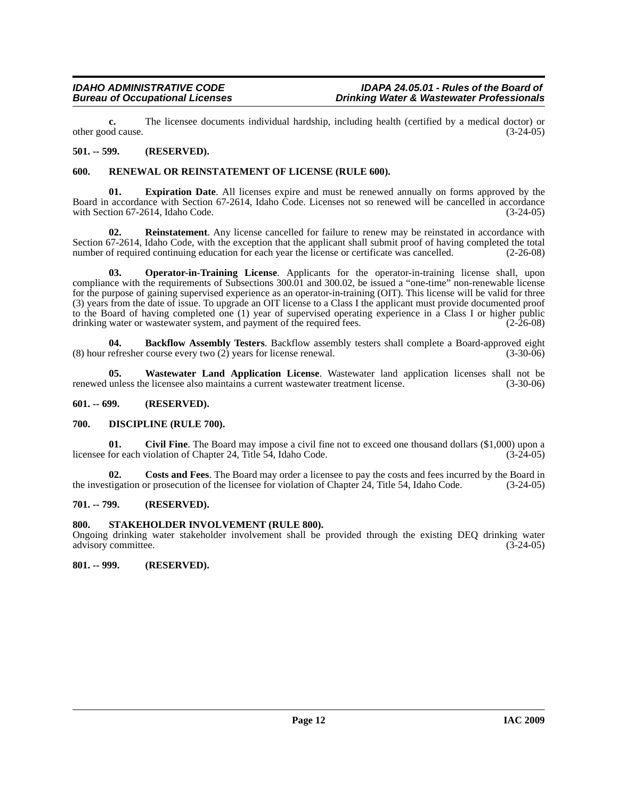**c.** The licensee documents individual hardship, including health (certified by a medical doctor) or od cause. (3-24-05) other good cause.

### <span id="page-11-0"></span>**501. -- 599. (RESERVED).**

### <span id="page-11-11"></span><span id="page-11-1"></span>**600. RENEWAL OR REINSTATEMENT OF LICENSE (RULE 600).**

<span id="page-11-8"></span>**01. Expiration Date**. All licenses expire and must be renewed annually on forms approved by the Board in accordance with Section 67-2614, Idaho Code. Licenses not so renewed will be cancelled in accordance with Section 67-2614, Idaho Code. (3-24-05)

<span id="page-11-10"></span>**02. Reinstatement**. Any license cancelled for failure to renew may be reinstated in accordance with Section 67-2614, Idaho Code, with the exception that the applicant shall submit proof of having completed the total number of required continuing education for each year the license or certificate was cancelled.  $(2-26-08)$ 

<span id="page-11-9"></span>**03. Operator-in-Training License**. Applicants for the operator-in-training license shall, upon compliance with the requirements of Subsections 300.01 and 300.02, be issued a "one-time" non-renewable license for the purpose of gaining supervised experience as an operator-in-training (OIT). This license will be valid for three (3) years from the date of issue. To upgrade an OIT license to a Class I the applicant must provide documented proof to the Board of having completed one (1) year of supervised operating experience in a Class I or higher public drinking water or wastewater system, and payment of the required fees.  $(2-26-08)$ 

<span id="page-11-7"></span>**04. Backflow Assembly Testers**. Backflow assembly testers shall complete a Board-approved eight (8) hour refresher course every two (2) years for license renewal. (3-30-06)

<span id="page-11-12"></span>**05. Wastewater Land Application License**. Wastewater land application licenses shall not be renewed unless the licensee also maintains a current wastewater treatment license. (3-30-06)

#### <span id="page-11-2"></span>**601. -- 699. (RESERVED).**

#### <span id="page-11-3"></span>**700. DISCIPLINE (RULE 700).**

**01. Civil Fine**. The Board may impose a civil fine not to exceed one thousand dollars (\$1,000) upon a licensee for each violation of Chapter 24, Title 54, Idaho Code. (3-24-05)

**02. Costs and Fees**. The Board may order a licensee to pay the costs and fees incurred by the Board in the investigation or prosecution of the licensee for violation of Chapter 24, Title 54, Idaho Code. (3-24-05)

#### <span id="page-11-4"></span>**701. -- 799. (RESERVED).**

#### <span id="page-11-5"></span>**800. STAKEHOLDER INVOLVEMENT (RULE 800).**

Ongoing drinking water stakeholder involvement shall be provided through the existing DEQ drinking water advisory committee. (3-24-05)

<span id="page-11-6"></span>**801. -- 999. (RESERVED).**